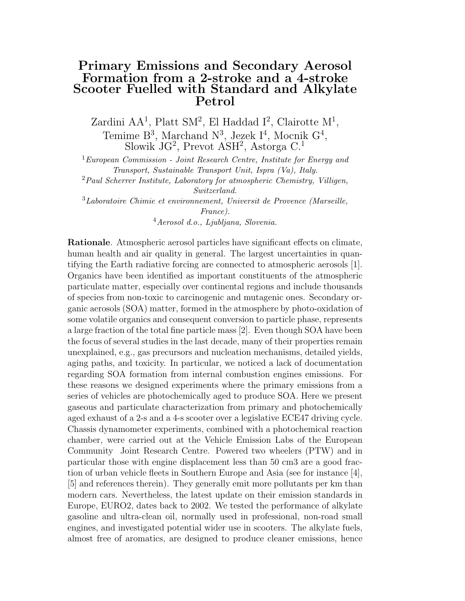## Primary Emissions and Secondary Aerosol Formation from a 2-stroke and a 4-stroke Scooter Fuelled with Standard and Alkylate Petrol

Zardini  $AA^1$ , Platt SM<sup>2</sup>, El Haddad I<sup>2</sup>, Clairotte M<sup>1</sup>, Temime  $B^3$ , Marchand  $N^3$ , Jezek I<sup>4</sup>, Mocnik  $G^4$ , Slowik JG<sup>2</sup>, Prevot ASH<sup>2</sup>, Astorga C.<sup>1</sup>

 ${}^{1}E$ uropean Commission - Joint Research Centre, Institute for Energy and Transport, Sustainable Transport Unit, Ispra (Va), Italy.

 $2$ Paul Scherrer Institute, Laboratory for atmospheric Chemistry, Villigen, Switzerland.

<sup>3</sup>Laboratoire Chimie et environnement, Universit de Provence (Marseille, France).

<sup>4</sup>Aerosol d.o., Ljubljana, Slovenia.

Rationale. Atmospheric aerosol particles have significant effects on climate, human health and air quality in general. The largest uncertainties in quantifying the Earth radiative forcing are connected to atmospheric aerosols [1]. Organics have been identified as important constituents of the atmospheric particulate matter, especially over continental regions and include thousands of species from non-toxic to carcinogenic and mutagenic ones. Secondary organic aerosols (SOA) matter, formed in the atmosphere by photo-oxidation of some volatile organics and consequent conversion to particle phase, represents a large fraction of the total fine particle mass [2]. Even though SOA have been the focus of several studies in the last decade, many of their properties remain unexplained, e.g., gas precursors and nucleation mechanisms, detailed yields, aging paths, and toxicity. In particular, we noticed a lack of documentation regarding SOA formation from internal combustion engines emissions. For these reasons we designed experiments where the primary emissions from a series of vehicles are photochemically aged to produce SOA. Here we present gaseous and particulate characterization from primary and photochemically aged exhaust of a 2-s and a 4-s scooter over a legislative ECE47 driving cycle. Chassis dynamometer experiments, combined with a photochemical reaction chamber, were carried out at the Vehicle Emission Labs of the European Community Joint Research Centre. Powered two wheelers (PTW) and in particular those with engine displacement less than 50 cm3 are a good fraction of urban vehicle fleets in Southern Europe and Asia (see for instance [4], [5] and references therein). They generally emit more pollutants per km than modern cars. Nevertheless, the latest update on their emission standards in Europe, EURO2, dates back to 2002. We tested the performance of alkylate gasoline and ultra-clean oil, normally used in professional, non-road small engines, and investigated potential wider use in scooters. The alkylate fuels, almost free of aromatics, are designed to produce cleaner emissions, hence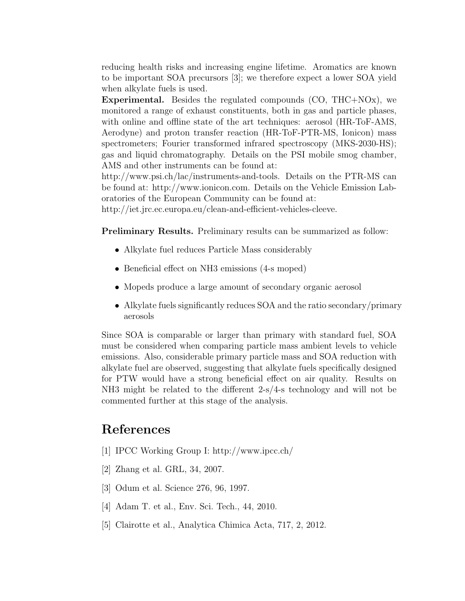reducing health risks and increasing engine lifetime. Aromatics are known to be important SOA precursors [3]; we therefore expect a lower SOA yield when alkylate fuels is used.

Experimental. Besides the regulated compounds (CO, THC+NOx), we monitored a range of exhaust constituents, both in gas and particle phases, with online and offline state of the art techniques: aerosol (HR-ToF-AMS, Aerodyne) and proton transfer reaction (HR-ToF-PTR-MS, Ionicon) mass spectrometers; Fourier transformed infrared spectroscopy (MKS-2030-HS); gas and liquid chromatography. Details on the PSI mobile smog chamber, AMS and other instruments can be found at:

http://www.psi.ch/lac/instruments-and-tools. Details on the PTR-MS can be found at: http://www.ionicon.com. Details on the Vehicle Emission Laboratories of the European Community can be found at:

http://iet.jrc.ec.europa.eu/clean-and-efficient-vehicles-cleeve.

Preliminary Results. Preliminary results can be summarized as follow:

- Alkylate fuel reduces Particle Mass considerably
- Beneficial effect on NH3 emissions (4-s moped)
- Mopeds produce a large amount of secondary organic aerosol
- Alkylate fuels significantly reduces SOA and the ratio secondary/primary aerosols

Since SOA is comparable or larger than primary with standard fuel, SOA must be considered when comparing particle mass ambient levels to vehicle emissions. Also, considerable primary particle mass and SOA reduction with alkylate fuel are observed, suggesting that alkylate fuels specifically designed for PTW would have a strong beneficial effect on air quality. Results on NH3 might be related to the different 2-s/4-s technology and will not be commented further at this stage of the analysis.

# References

- [1] IPCC Working Group I: http://www.ipcc.ch/
- [2] Zhang et al. GRL, 34, 2007.
- [3] Odum et al. Science 276, 96, 1997.
- [4] Adam T. et al., Env. Sci. Tech., 44, 2010.
- [5] Clairotte et al., Analytica Chimica Acta, 717, 2, 2012.